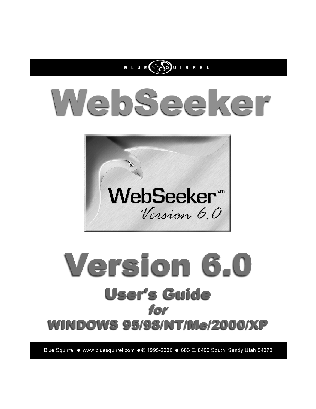

# WebSeeker



# Version 6.0 **User's Guide** for **WINDOWS 95/98/NT/Me/2000/XP**

Blue Squirrel ● www.bluesquirrel.com ●© 1995-2006 ● 686 E. 8400 South, Sandy Utah 84070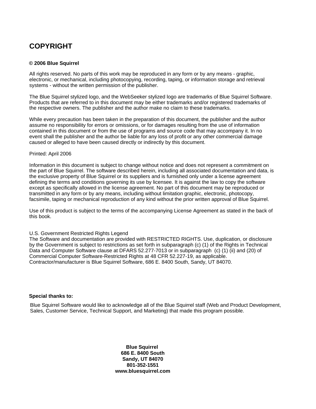# **COPYRIGHT**

### **© 2006 Blue Squirrel**

All rights reserved. No parts of this work may be reproduced in any form or by any means - graphic, electronic, or mechanical, including photocopying, recording, taping, or information storage and retrieval systems - without the written permission of the publisher.

The Blue Squirrel stylized logo, and the WebSeeker stylized logo are trademarks of Blue Squirrel Software. Products that are referred to in this document may be either trademarks and/or registered trademarks of the respective owners. The publisher and the author make no claim to these trademarks.

While every precaution has been taken in the preparation of this document, the publisher and the author assume no responsibility for errors or omissions, or for damages resulting from the use of information contained in this document or from the use of programs and source code that may accompany it. In no event shall the publisher and the author be liable for any loss of profit or any other commercial damage caused or alleged to have been caused directly or indirectly by this document.

### Printed: April 2006

Information in this document is subject to change without notice and does not represent a commitment on the part of Blue Squirrel. The software described herein, including all associated documentation and data, is the exclusive property of Blue Squirrel or its suppliers and is furnished only under a license agreement defining the terms and conditions governing its use by licensee. It is against the law to copy the software except as specifically allowed in the license agreement. No part of this document may be reproduced or transmitted in any form or by any means, including without limitation graphic, electronic, photocopy, facsimile, taping or mechanical reproduction of any kind without the prior written approval of Blue Squirrel.

Use of this product is subject to the terms of the accompanying License Agreement as stated in the back of this book.

### U.S. Government Restricted Rights Legend

The Software and documentation are provided with RESTRICTED RIGHTS. Use, duplication, or disclosure by the Government is subject to restrictions as set forth in subparagraph (c) (1) of the Rights in Technical Data and Computer Software clause at DFARS 52.277-7013 or in subparagraph (c) (1) (ii) and (20) of Commercial Computer Software-Restricted Rights at 48 CFR 52.227-19, as applicable. Contractor/manufacturer is Blue Squirrel Software, 686 E. 8400 South, Sandy, UT 84070.

### **Special thanks to:**

Blue Squirrel Software would like to acknowledge all of the Blue Squirrel staff (Web and Product Development, Sales, Customer Service, Technical Support, and Marketing) that made this program possible.

> **Blue Squirrel 686 E. 8400 South Sandy, UT 84070 801-352-1551 www.bluesquirrel.com**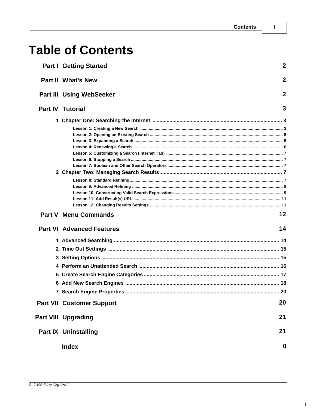# **Table of Contents**

| <b>Part I Getting Started</b>    | $\overline{2}$ |  |
|----------------------------------|----------------|--|
| <b>Part II What's New</b>        |                |  |
| <b>Part III Using WebSeeker</b>  | $\overline{2}$ |  |
| <b>Part IV Tutorial</b>          |                |  |
|                                  |                |  |
|                                  |                |  |
|                                  |                |  |
|                                  |                |  |
|                                  |                |  |
|                                  |                |  |
|                                  |                |  |
|                                  |                |  |
|                                  |                |  |
|                                  |                |  |
|                                  |                |  |
|                                  |                |  |
|                                  |                |  |
|                                  |                |  |
| <b>Part V Menu Commands</b>      | 12             |  |
| <b>Part VI Advanced Features</b> | 14             |  |
|                                  |                |  |
|                                  |                |  |
|                                  |                |  |
|                                  |                |  |
|                                  |                |  |
|                                  |                |  |
|                                  |                |  |
| <b>Part VII Customer Support</b> | 20             |  |
| <b>Part VIII Upgrading</b>       | 21             |  |
| <b>Part IX Uninstalling</b>      | 21             |  |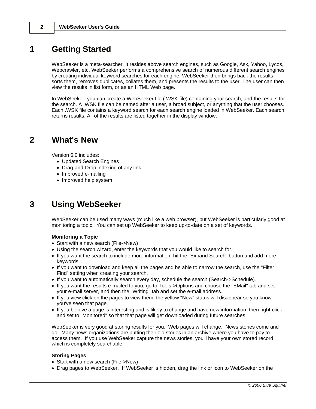# **1 Getting Started**

WebSeeker is a meta-searcher. It resides above search engines, such as Google, Ask, Yahoo, Lycos, Webcrawler, etc. WebSeeker performs a comprehensive search of numerous different search engines by creating individual keyword searches for each engine. WebSeeker then brings back the results, sorts them, removes duplicates, collates them, and presents the results to the user. The user can then view the results in list form, or as an HTML Web page.

In WebSeeker, you can create a WebSeeker file (.WSK file) containing your search, and the results for the search. A .WSK file can be named after a user, a broad subject, or anything that the user chooses. Each .WSK file contains a keyword search for each search engine loaded in WebSeeker. Each search returns results. All of the results are listed together in the display window.

# **2 What's New**

Version 6.0 includes:

- · Updated Search Engines
- · Drag-and-Drop indexing of any link
- · Improved e-mailing
- · Improved help system

# **3 Using WebSeeker**

WebSeeker can be used many ways (much like a web browser), but WebSeeker is particularly good at monitoring a topic. You can set up WebSeeker to keep up-to-date on a set of keywords.

### **Monitoring a Topic**

- · Start with a new search (File->New)
- · Using the search wizard, enter the keywords that you would like to search for.
- · If you want the search to include more information, hit the "Expand Search" button and add more keywords.
- · If you want to download and keep all the pages and be able to narrow the search, use the "Filter Find" setting when creating your search.
- · If you want to automatically search every day, schedule the search (Search->Schedule).
- · If you want the results e-mailed to you, go to Tools->Options and choose the "EMail" tab and set your e-mail server, and then the "Writing" tab and set the e-mail address.
- · If you view click on the pages to view them, the yellow "New" status will disappear so you know you've seen that page.
- · If you believe a page is interesting and is likely to change and have new information, then right-click and set to "Monitored" so that that page will get downloaded during future searches.

WebSeeker is very good at storing results for you. Web pages will change. News stories come and go. Many news organizations are putting their old stories in an archive where you have to pay to access them. If you use WebSeeker capture the news stories, you'll have your own stored record which is completely searchable.

### **Storing Pages**

- Start with a new search (File->New)
- · Drag pages to WebSeeker. If WebSeeker is hidden, drag the link or icon to WebSeeker on the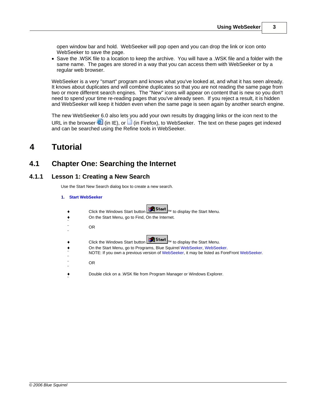open window bar and hold. WebSeeker will pop open and you can drop the link or icon onto WebSeeker to save the page.

· Save the .WSK file to a location to keep the archive. You will have a .WSK file and a folder with the same name. The pages are stored in a way that you can access them with WebSeeker or by a regular web browser.

WebSeeker is a very "smart" program and knows what you've looked at, and what it has seen already. It knows about duplicates and will combine duplicates so that you are not reading the same page from two or more different search engines. The "New" icons will appear on content that is new so you don't need to spend your time re-reading pages that you've already seen. If you reject a result, it is hidden and WebSeeker will keep it hidden even when the same page is seen again by another search engine.

The new WebSeeker 6.0 also lets you add your own results by dragging links or the icon next to the URL in the browser  $\blacksquare$  (in IE), or  $\square$  (in Firefox), to WebSeeker. The text on these pages get indexed and can be searched using the Refine tools in WebSeeker.

# **4 Tutorial**

# **4.1 Chapter One: Searching the Internet**

# **4.1.1 Lesson 1: Creating a New Search**

Use the Start New Search dialog box to create a new search.

### **1. Start WebSeeker**

| $\bullet$ | <b>Example 13 Start</b> T <sub>M</sub> to display the Start Menu.<br>Click the Windows Start button<br>On the Start Menu, go to Find, On the Internet.                                                                                                                                                                                                         |
|-----------|----------------------------------------------------------------------------------------------------------------------------------------------------------------------------------------------------------------------------------------------------------------------------------------------------------------------------------------------------------------|
|           | OR.                                                                                                                                                                                                                                                                                                                                                            |
|           | Click the Windows Start button $\left\  \frac{\partial \mathbf{H}}{\partial t} \mathbf{S} \mathbf{t} \mathbf{a} \mathbf{r} \mathbf{t} \right\ _{\text{TM}}$ to display the Start Menu.<br>On the Start Menu, go to Programs, Blue Squirrel WebSeeker, WebSeeker.<br>NOTE: If you own a previous version of WebSeeker, it may be listed as ForeFront WebSeeker. |
|           | 0R                                                                                                                                                                                                                                                                                                                                                             |
|           | Double click on a .WSK file from Program Manager or Windows Explorer.                                                                                                                                                                                                                                                                                          |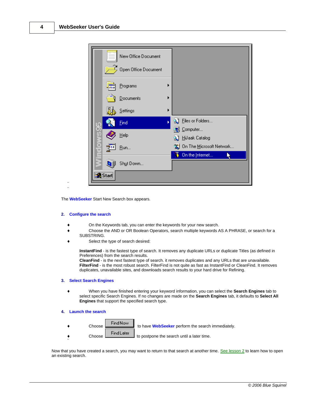

The **WebSeeker** Start New Search box appears.

### **2. Configure the search**

- On the Keywords tab, you can enter the keywords for your new search.
- ® Choose the AND or OR Boolean Operators, search multiple keywords AS A PHRASE, or search for a SUBSTRING.
- Select the type of search desired:

**InstantFind** - is the fastest type of search. It removes any duplicate URLs or duplicate Titles (as defined in Preferences) from the search results.

**CleanFind** - is the next fastest type of search. it removes duplicates and any URLs that are unavailable. **FilterFind** - is the most robust search. FilterFind is not quite as fast as InstantFind or CleanFind. It removes duplicates, unavailable sites, and downloads search results to your hard drive for Refining.

### **3. Select Search Engines**

® When you have finished entering your keyword information, you can select the **Search Engines** tab to select specific Search Engines. If no changes are made on the **Search Engines** tab, it defaults to **Select All Engines** that support the specified search type.

### **4. Launch the search**

Choose **Find Now** to have **WebSeeker** perform the search immediately. ◆ Choose Find Later to postpone the search until a later time. ¨

Now that you have created a search, you may want to return to that search at another time. [See lesson 2](#page-6-0) to learn how to open an existing search.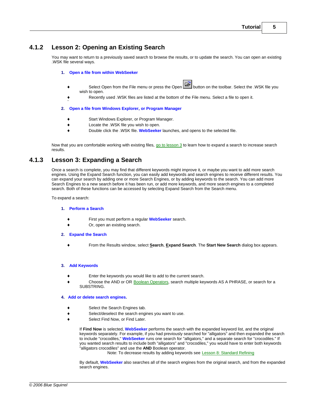# <span id="page-6-0"></span>**4.1.2 Lesson 2: Opening an Existing Search**

You may want to return to a previously saved search to browse the results, or to update the search. You can open an existing .WSK file several ways.

### **1. Open a file from within WebSeeker**

- Select Open from the File menu or press the Open **Button on the toolbar.** Select the .WSK file you wish to open.
- ® Recently used .WSK files are listed at the bottom of the File menu. Select a file to open it.

### **2. Open a file from Windows Explorer, or Program Manager**

- Start Windows Explorer, or Program Manager.
- ® Locate the .WSK file you wish to open.
- ® Double click the .WSK file. **WebSeeker** launches, and opens to the selected file.

Now that you are comfortable working with existing files, [go to lesson 3](#page-6-1) to learn how to expand a search to increase search results.

# <span id="page-6-1"></span>**4.1.3 Lesson 3: Expanding a Search**

¨

Once a search is complete, you may find that different keywords might improve it, or maybe you want to add more search engines. Using the Expand Search function, you can easily add keywords and search engines to receive different results. You can expand your search by adding one or more Search Engines, or by adding keywords to the search. You can add more Search Engines to a new search before it has been run, or add more keywords, and more search engines to a completed search. Both of these functions can be accessed by selecting Expand Search from the Search menu.

To expand a search:

### **1. Perform a Search**

- ® First you must perform a regular **WebSeeker** search.
- Or, open an existing search.
- **2. Expand the Search**
	- ® From the Results window, select **Search**, **Expand Search**. The **Start New Search** dialog box appears.

### **3. Add Keywords**

- Enter the keywords you would like to add to the current search.
- Choose the AND or OR [Boolean Operators](#page-8-0), search multiple keywords AS A PHRASE, or search for a SUBSTRING.

### **4. Add or delete search engines.**

- Select the Search Engines tab.
- ® Select/deselect the search engines you want to use.
- Select Find Now, or Find Later.

If **Find Now** is selected, **WebSeeker** performs the search with the expanded keyword list, and the original keywords separately. For example, if you had previously searched for "alligators" and then expanded the search to include "crocodiles," **WebSeeker** runs one search for "alligators," and a separate search for "crocodiles." If you wanted search results to include both "alligators" and "crocodiles," you would have to enter both keywords "alligators crocodiles" and use the **AND** Boolean operator.

Note: To decrease results by adding keywords see [Lesson 8: Standard Refining](#page-8-1)

By default, **WebSeeker** also searches all of the search engines from the original search, and from the expanded search engines.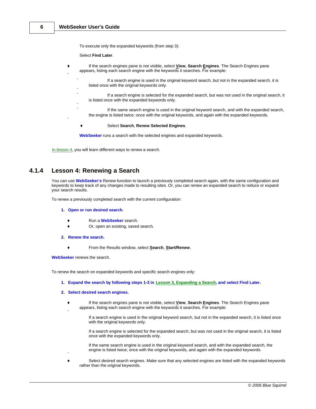To execute only the expanded keywords (from step 3):

Select **Find Later**.

- ® If the search engines pane is not visible, select **View**, **Search Engines**. The Search Engines pane appears, listing each search engine with the keywords it searches. For example: ¨ If a search engine is used in the original keyword search, but not in the expanded search, it is listed once with the original keywords only. ¨ If a search engine is selected for the expanded search, but was not used in the original search, it is listed once with the expanded keywords only. ¨ If the same search engine is used in the original keyword search, and with the expanded search, the engine is listed twice; once with the original keywords, and again with the expanded keywords. ¨
	- ® Select **Search**, **Renew Selected Engines**.

**WebSeeker** runs a search with the selected engines and expanded keywords.

[In lesson 4](#page-7-0), you will learn different ways to renew a search.

# <span id="page-7-0"></span>**4.1.4 Lesson 4: Renewing a Search**

You can use **WebSeeker's** Renew function to launch a previously completed search again, with the same configuration and keywords to keep track of any changes made to resulting sites. Or, you can renew an expanded search to reduce or expand your search results.

To renew a previously completed search with the current configuration:

- **1. Open or run desired search.**
	- ® Run a **WebSeeker** search.
	- Or, open an existing, saved search.
- **2. Renew the search.**
	- ® From the Results window, select **Search**, **Start/Renew**.

**WebSeeker** renews the search.

¨

¨

To renew the search on expanded keywords and specific search engines only:

- **1. Expand the search by following steps 1-3 in [Lesson 3, Expanding a Search](#page-6-1), and select Find Later.**
- **2. Select desired search engines.**
	- ® If the search engines pane is not visible, select **View**, **Search Engines**. The Search Engines pane appears, listing each search engine with the keywords it searches. For example:

If a search engine is used in the original keyword search, but not in the expanded search, it is listed once with the original keywords only.

If a search engine is selected for the expanded search, but was not used in the original search, it is listed once with the expanded keywords only.

If the same search engine is used in the original keyword search, and with the expanded search, the engine is listed twice; once with the original keywords, and again with the expanded keywords.

Select desired search engines. Make sure that any selected engines are listed with the expanded keywords rather than the original keywords.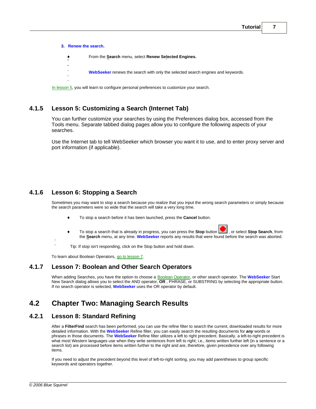**3. Renew the search.** ® From the **Search** menu, select **Renew Selected Engines. ¨ ¨ WebSeeker** renews the search with only the selected search engines and keywords. ¨ ¨ [In lesson 5](#page-8-2), you will learn to configure personal preferences to customize your search.

<span id="page-8-2"></span>**4.1.5 Lesson 5: Customizing a Search (Internet Tab)**

You can further customize your searches by using the Preferences dialog box, accessed from the Tools menu. Separate tabbed dialog pages allow you to configure the following aspects of your searches.

Use the Internet tab to tell WebSeeker which browser you want it to use, and to enter proxy server and port information (if applicable).

# **4.1.6 Lesson 6: Stopping a Search**

Sometimes you may want to stop a search because you realize that you input the wrong search parameters or simply because the search parameters were so wide that the search will take a very long time.

- ® To stop a search before it has been launched, press the **Cancel** button.
- To stop a search that is already in progress, you can press the **Stop** button **or all extends on**, from the stop search, from the **Search** menu, at any time. **WebSeeker** reports any results that were found before the search was aborted.
- ¨ Tip: If stop isn't responding, click on the Stop button and hold down.

To learn about Boolean Operators, [go to lesson 7](#page-8-0).

# <span id="page-8-0"></span>**4.1.7 Lesson 7: Boolean and Other Search Operators**

When adding Searches, you have the option to choose a [Boolean Operator](#page-8-0), or other search operator. The **WebSeeker** Start New Search dialog allows you to select the AND operator, **OR** , PHRASE, or SUBSTRING by selecting the appropriate button. If no search operator is selected, **WebSeeker** uses the OR operator by default.

# <span id="page-8-1"></span>**4.2 Chapter Two: Managing Search Results**

# **4.2.1 Lesson 8: Standard Refining**

After a **FilterFind** search has been performed, you can use the refine filter to search the current, downloaded results for more detailed information. With the **WebSeeker** Refine filter, you can easily search the resulting documents for *any* words or phrases in those documents. The **WebSeeker** Refine filter utilizes a left to right precedent. Basically, a left-to-right precedent is what most Western languages use when they write sentences from left to right; i.e., items written further left (in a sentence or a search list) are processed before items written further to the right and are, therefore, given precedence over any following items.

If you need to adjust the precedent beyond this level of left-to-right sorting, you may add parentheses to group specific keywords and operators together.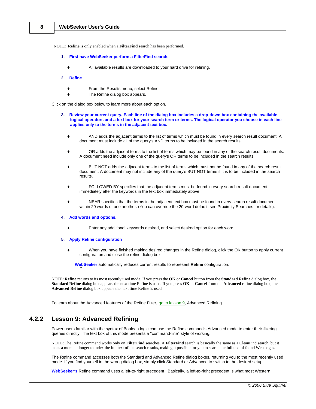NOTE: **Refine** is only enabled when a **FilterFind** search has been performed.

- **1. First have WebSeeker perform a FilterFind search.**
	- ® All available results are downloaded to your hard drive for refining.
- **2. Refine**
	- From the Results menu, select Refine.
	- The Refine dialog box appears.

Click on the dialog box below to learn more about each option.

- **3. Review your current query. Each line of the dialog box includes a drop-down box containing the available** logical operators and a text box for your search term or terms. The logical operator you choose in each line **applies only to the terms in the adjacent text box.**
	- AND adds the adjacent terms to the list of terms which must be found in every search result document. A document must include all of the query's AND terms to be included in the search results.
	- OR adds the adjacent terms to the list of terms which may be found in any of the search result documents. A document need include only one of the query's OR terms to be included in the search results.
	- BUT NOT adds the adjacent terms to the list of terms which must not be found in any of the search result document. A document may not include any of the query's BUT NOT terms if it is to be included in the search results.
	- FOLLOWED BY specifies that the adjacent terms must be found in every search result document immediately after the keywords in the text box immediately above.
	- NEAR specifies that the terms in the adjacent text box must be found in every search result document within 20 words of one another. (You can override the 20-word default; see Proximity Searches for details).

### **4. Add words and options.**

Enter any additional keywords desired, and select desired option for each word.

### **5. Apply Refine configuration**

¨

When you have finished making desired changes in the Refine dialog, click the OK button to apply current configuration and close the refine dialog box.

**WebSeeker** automatically reduces current results to represent **Refine** configuration.

NOTE: **Refine** returns to its most recently used mode. If you press the **OK** or **Cancel** button from the **Standard Refine** dialog box, the **Standard Refine** dialog box appears the next time Refine is used. If you press **OK** or **Cancel** from the **Advanced** refine dialog box, the **Advanced Refine** dialog box appears the next time Refine is used.

To learn about the Advanced features of the Refine Filter, [go to lesson 9](#page-9-0), Advanced Refining.

# <span id="page-9-0"></span>**4.2.2 Lesson 9: Advanced Refining**

Power users familiar with the syntax of Boolean logic can use the Refine command's Advanced mode to enter their filtering queries directly. The text box of this mode presents a "command-line" style of working.

NOTE: The Refine command works only on **FilterFind** searches. A **FilterFind** search is basically the same as a CleanFind search, but it takes a moment longer to index the full text of the search results, making it possible for you to search the full text of found Web pages.

The Refine command accesses both the Standard and Advanced Refine dialog boxes, returning you to the most recently used mode. If you find yourself in the wrong dialog box, simply click Standard or Advanced to switch to the desired setup.

**WebSeeker's** Refine command uses a left-to-right precedent . Basically, a left-to-right precedent is what most Western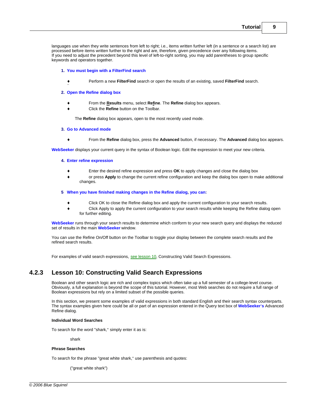languages use when they write sentences from left to right; i.e., items written further left (in a sentence or a search list) are processed before items written further to the right and are, therefore, given precedence over any following items. If you need to adjust the precedent beyond this level of left-to-right sorting, you may add parentheses to group specific keywords and operators together.

### **1. You must begin with a FilterFind search**

® Perform a new **FilterFind** search or open the results of an existing, saved **FilterFind** search.

### **2. Open the Refine dialog box**

¨

- ® From the **Results** menu, select **Refine**. The **Refine** dialog box appears.
	- ® Click the **Refine** button on the Toolbar.

The **Refine** dialog box appears, open to the most recently used mode.

### **3. Go to Advanced mode**

® From the **Refine** dialog box, press the **Advanced** button, if necessary. The **Advanced** dialog box appears.

**WebSeeker** displays your current query in the syntax of Boolean logic. Edit the expression to meet your new criteria.

### **4. Enter refine expression**

- Enter the desired refine expression and press OK to apply changes and close the dialog box
- or press Apply to change the current refine configuration and keep the dialog box open to make additional changes.

### **5 When you have finished making changes in the Refine dialog, you can:**

- Click OK to close the Refine dialog box and apply the current configuration to your search results.
- Click Apply to apply the current configuration to your search results while keeping the Refine dialog open for further editing.

**WebSeeker** runs through your search results to determine which conform to your new search query and displays the reduced set of results in the main **WebSeeker** window.

You can use the Refine On/Off button on the Toolbar to toggle your display between the complete search results and the refined search results.

For examples of valid search expressions, [see lesson 10](#page-10-0), Constructing Valid Search Expressions.

# <span id="page-10-0"></span>**4.2.3 Lesson 10: Constructing Valid Search Expressions**

Boolean and other search logic are rich and complex topics which often take up a full semester of a college-level course. Obviously, a full explanation is beyond the scope of this tutorial. However, most Web searches do not require a full range of Boolean expressions but rely on a limited subset of the possible queries.

In this section, we present some examples of valid expressions in both standard English and their search syntax counterparts. The syntax examples given here could be all or part of an expression entered in the Query text box of **WebSeeker's** Advanced Refine dialog.

### **Individual Word Searches**

To search for the word "shark," simply enter it as is:

shark

### **Phrase Searches**

To search for the phrase "great white shark," use parenthesis and quotes:

("great white shark")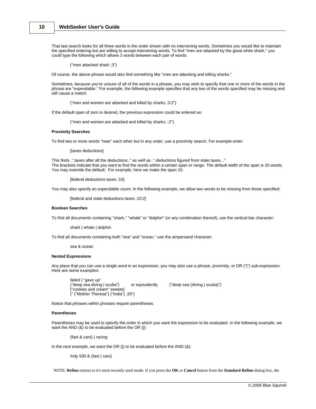That last search looks for all three words in the order shown with no intervening words. Sometimes you would like to maintain the specified ordering but are willing to accept intervening words. To find "men are attacked by the great white shark," you could type the following which allows 3 words between each pair of words:

("men attacked shark :3")

Of course, the above phrase would also find something like "men are attacking and killing sharks."

Sometimes, because you're unsure of all of the words in a phrase, you may wish to specify that one or more of the words in the phrase are "expendable." For example, the following example specifies that any two of the words specified may be missing and still cause a match:

("men and women are attacked and killed by sharks :3:2")

If the default span of zero is desired, the previous expression could be entered as:

("men and women are attacked and killed by sharks ::2")

### **Proximity Searches**

To find two or more words "near" each other but in any order, use a proximity search. For example enter:

[taxes deductions]

This finds .".taxes after all the deductions.." as well as .".deductions figured from state taxes..." The brackets indicate that you want to find the words within a certain span or range. The default width of the span is 20 words. You may override the default: For example, here we make the span 10:

[federal deductions taxes :10]

You may also specify an expendable count. In the following example, we allow two words to be missing from those specified:

[federal and state deductions taxes :10:2]

### **Boolean Searches**

To find all documents containing "shark," "whale" or "dolphin" (or any combination thereof), use the vertical bar character:

shark | whale | dolphin

To find all documents containing both "sea" and "ocean," use the ampersand character:

sea & ocean

### **Nested Expressions**

Any place that you can use a single word in an expression, you may also use a phrase, proximity, or OR ("|") sub-expression. Here are some examples:

failed | "gave up"<br>("deep sea diving | scuba") or equivalently ("deep sea (diving | scuba)") ["cookies and cream" sweets] (" ("Mother Theresa") ("India") :20")

Notice that phrases within phrases require parentheses.

### **Parentheses**

Parentheses may be used to specify the order in which you want the expression to be evaluated. In the following example, we want the AND  $(8)$  to be evaluated before the OR (|):

(fast & cars) | racing

In the next example, we want the OR (I) to be evaluated before the AND  $(8)$ :

Indy 500 & (fast | cars)

NOTE: **Refine** returns to it's most recently used mode. If you press the **OK** or **Cancel** button from the **Standard Refine** dialog box, the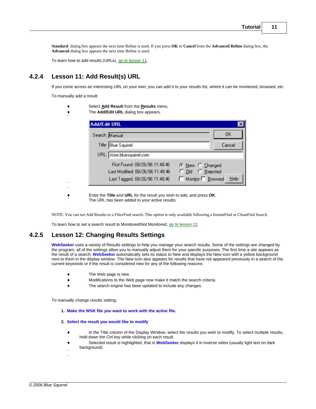**Standard** dialog box appears the next time Refine is used. If you press **OK** or **Cancel** from the **Advanced Refine** dialog box, the **Advanced** dialog box appears the next time Refine is used.

To learn how to add results (URLs), [go to lesson 11](#page-12-0).

# <span id="page-12-0"></span>**4.2.4 Lesson 11: Add Result(s) URL**

If you come across an interesting URL on your own, you can add it to your results list, where it can be monitored, browsed, etc.

To manually add a result:

- ® Select **Add Result** from the **Results** menu.
- ® The **Add/Edit URL** dialog box appears.

| Search: Manual                   | OΚ                             |
|----------------------------------|--------------------------------|
|                                  |                                |
| Title: Blue Squirrel             | Cancel                         |
| URL: store.bluesquirrel.com      |                                |
| First Found: 08/26/96 11:48:46   | C New C Changed                |
| Last Modified: 08/26/96 11:48:46 | O Old C Rejected               |
| Last Tagged: 08/26/96 11:48:46   | Help<br>Monitor $\Box$ Browsed |

¨

® Enter the **Title** and **URL** for the result you wish to add, and press **OK**. The URL has been added to your active results.

NOTE: You can not Add Results to a FilterFind search. This option is only available following a InstantFind or CleanFind Search.

To learn how to set a search result to Monitored/Not Monitored, [go to lesson 12](#page-12-1).

### <span id="page-12-1"></span>**4.2.5 Lesson 12: Changing Results Settings**

**WebSeeker** uses a variety of Results settings to help you manage your search results. Some of the settings are changed by the program; all of the settings allow you to manually adjust them for your specific purposes. The first time a site appears as the result of a search, **WebSeeker** automatically sets its status to New and displays the New icon with a yellow background next to them in the display window. The New icon also appears for results that have not appeared previously in a search of the current keywords or if the result is considered new for any of the following reasons:

- $\bullet$  The Web page is new.
- ® Modifications to the Web page now make it match the search criteria.
- ® The search engine has been updated to include any changes.

To manually change results setting:

- 1. Make the WSK file you want to work with the active file.<br>2. Select the result you would like to modify
- - ® In the Title column of the Display Window, select the results you wish to modify. To select multiple results, hold down the Ctrl key while clicking on each result.
	- ® Selected result is highlighted, that is **WebSeeker** displays it in inverse video (usually light text on dark background).
	- ¨ ¨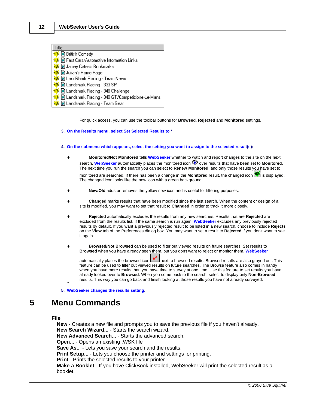| <b>Title</b>                                        |
|-----------------------------------------------------|
| <b>NEW</b> @ British Comedy                         |
| BE B Fast Cars/Automotive Information Links         |
| <mark>  ଖୟୁ</mark> ଡ଼ି   al Jamey Cates's Bookmarks |
| <u>  Not</u> @ Julian's Home Page                   |
| <u>  NEW</u> @ LandShark Racing - Team News         |
| <mark>  ଖୟୁଁ</mark> (@) Landshark Racing - 333 SP   |
| <b>NO</b> Landshark Racing - 348 Challenge          |
|                                                     |
| ∣ <mark>ଖ‡</mark> ⊮ ම Landshark Racing - Team Gear  |

For quick access, you can use the toolbar buttons for **Browsed**, **Rejected** and **Monitored** settings.

### **3. On the Results menu, select Set Selected Results to**8

- **4. On the submenu which appears, select the setting you want to assign to the selected result(s):**
	- ® **Monitored/Not Monitored** tells **WebSeeker** whether to watch and report changes to the site on the next search. WebSeeker automatically places the monitored icon  $\bullet$  over results that have been set to Monitored. The next time you run the search you can select to **Renew Monitored**, and only those results you have set to monitored are searched. If there has been a change in the **Monitored** result, the changed icon **illy** is displayed.

The changed icon looks like the new icon with a green background.

- New/Old adds or removes the yellow new icon and is useful for filtering purposes.
- ® **Changed** marks results that have been modified since the last search. When the content or design of a site is modified, you may want to set that result to **Changed** in order to track it more closely.
- ® **Rejected** automatically excludes the results from any new searches. Results that are **Rejected** are excluded from the results list. If the same search is run again, **WebSeeker** excludes any previously rejected results by default. If you want a previously rejected result to be listed in a new search, choose to include **Rejects** on the **View** tab of the Preferences dialog box. You may want to set a result to **Rejected** if you don't want to see it again.
- ® **Browsed/Not Browsed** can be used to filter out viewed results on future searches. Set results to **Browsed** when you have already seen them, but you don't want to reject or monitor them. **WebSeeker**

automatically places the browsed icon  $\Box$  next to browsed results. Browsed results are also grayed out. This feature can be used to filter out viewed results on future searches. The Browse feature also comes in handy when you have more results than you have time to survey at one time. Use this feature to set results you have already looked over to **Browsed**. When you come back to the search, select to display only **Non-Browsed** results. This way you can go back and finish looking at those results you have not already surveyed.

**5. WebSeeker changes the results setting.**

# **5 Menu Commands**

¨

### **File**

**New** - Creates a new file and prompts you to save the previous file if you haven't already. **New Search Wizard...** - Starts the search wizard. **New Advanced Search...** - Starts the advanced search. **Open...** - Opens an existing .WSK file **Save As..**. - Lets you save your search and the results. **Print Setup...** - Lets you choose the printer and settings for printing. **Print** - Prints the selected results to your printer. **Make a Booklet** - If you have ClickBook installed, WebSeeker will print the selected result as a booklet.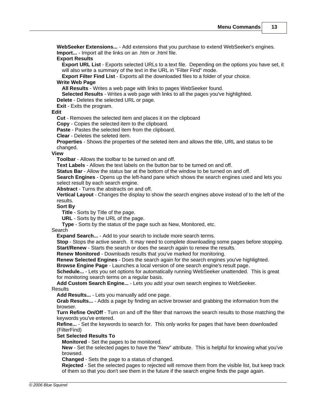**WebSeeker Extensions...** - Add extensions that you purchase to extend WebSeeker's engines. **Import...** - Import all the links on an .htm or .html file.

### **Export Results**

**Export URL List** - Exports selected URLs to a text file. Depending on the options you have set, it will also write a summary of the text in the URL in "Filter Find" mode.

**Export Filter Find List** - Exports all the downloaded files to a folder of your choice.

### **Write Web Page**

**All Results** - Writes a web page with links to pages WebSeeker found.

**Selected Results** - Writes a web page with links to all the pages you've highlighted.

**Delete** - Deletes the selected URL or page.

**Exit** - Exits the program.

### **Edit**

**Cut** - Removes the selected item and places it on the clipboard

**Copy** - Copies the selected item to the clipboard.

**Paste** - Pastes the selected item from the clipboard.

**Clear** - Deletes the seleted item.

**Properties** - Shows the properties of the seleted item and allows the title, URL and status to be changed.

### **View**

**Toolbar** - Allows the toolbar to be turned on and off.

**Text Labels** - Allows the text labels on the button bar to be turned on and off.

**Status Bar** - Allow the status bar at the bottom of the window to be turned on and off.

**Search Engines** - Opens up the left-hand pane which shows the search engines used and lets you select result by each search engine.

**Abstract** - Turns the abstracts on and off.

**Vertical Layout** - Changes the display to show the search engines above instead of to the left of the results.

**Sort By**

**Title** - Sorts by Title of the page.

**URL** - Sorts by the URL of the page.

**Type** - Sorts by the status of the page such as New, Monitored, etc.

Search

**Expand Search...** - Add to your search to include more search terms.

**Stop** - Stops the active search. It may need to complete downloading some pages before stopping. **Start/Renew** - Starts the search or does the search again to renew the results.

**Renew Monitored** - Downloads results that you've marked for monitoring.

**Renew Selected Engines** - Does the search again for the search engines you've highlighted.

**Browse Engine Page** - Launches a local version of one search engine's result page.

**Schedule...** - Lets you set options for automatically running WebSeeker unattended. This is great for monitoring search terms on a regular basis.

**Add Custom Search Engine...** - Lets you add your own search engines to WebSeeker. **Results** 

**Add Results...** - Lets you manually add one page.

**Grab Results...** - Adds a page by finding an active browser and grabbing the information from the browser.

**Turn Refine On/Off** - Turn on and off the filter that narrows the search results to those matching the keywords you've entered.

**Refine...** - Set the keywords to search for. This only works for pages that have been downloaded (FilterFind)

### **Set Selected Results To**

**Monitored** - Set the pages to be monitored.

**New** - Set the selected pages to have the "New" attribute. This is helpful for knowing what you've browsed.

**Changed** - Sets the page to a status of changed.

**Rejected** - Set the selected pages to rejected will remove them from the visible list, but keep track of them so that you don't see them in the future if the search engine finds the page again.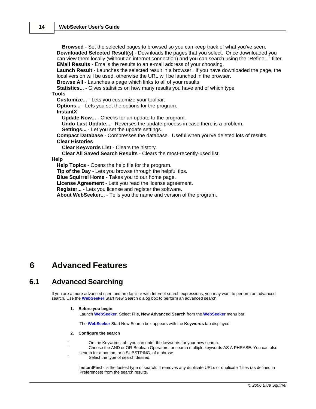**Browsed** - Set the selected pages to browsed so you can keep track of what you've seen. **Downloaded Selected Result(s)** - Downloads the pages that you select. Once downloaded you can view them locally (without an internet connection) and you can search using the "Refine..." filter. **EMail Results** - Emails the results to an e-mail address of your choosing. **Launch Result** - Launches the selected result in a browser. If you have downloaded the page, the local version will be used, otherwise the URL will be launched in the browser. **Browse All** - Launches a page which links to all of your results. **Statistics...** - Gives statistics on how many results you have and of which type. **Tools Customize...** - Lets you customize your toolbar. **Options...** - Lets you set the options for the program. **InstantX Update Now...** - Checks for an update to the program. **Undo Last Update...** - Reverses the update process in case there is a problem. **Settings...** - Let you set the update settings. **Compact Database** - Compresses the database. Useful when you've deleted lots of results. **Clear Histories Clear Keywords List** - Clears the history. **Clear All Saved Search Results** - Clears the most-recently-used list. **Help Help Topics** - Opens the help file for the program. **Tip of the Day** - Lets you browse through the helpful tips. **Blue Squirrel Home** - Takes you to our home page. **License Agreement** - Lets you read the license agreement. **Register...** - Lets you license and register the software. **About WebSeeker...** - Tells you the name and version of the program.

# **6 Advanced Features**

# **6.1 Advanced Searching**

If you are a more advanced user, and are familiar with Internet search expressions, you may want to perform an advanced search. Use the **WebSeeker** Start New Search dialog box to perform an advanced search.

### **1. Before you begin:**

Launch **WebSeeker.** Select **File, New Advanced Search** from the **WebSeeker** menu bar.

The **WebSeeker** Start New Search box appears with the **Keywords** tab displayed.

### **2. Configure the search**

- On the Keywords tab, you can enter the keywords for your new search.
- Choose the AND or OR Boolean Operators, or search multiple keywords AS A PHRASE. You can also search for a portion, or a SUBSTRING, of a phrase.
- Select the type of search desired:

**InstantFind** - is the fastest type of search. It removes any duplicate URLs or duplicate Titles (as defined in Preferences) from the search results.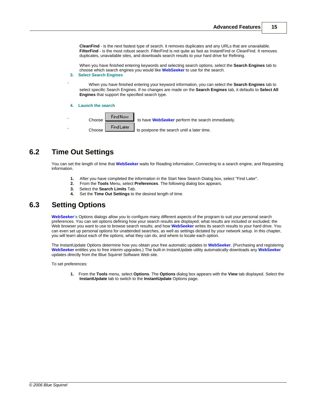**CleanFind** - is the next fastest type of search. it removes duplicates and any URLs that are unavailable. **FilterFind** - is the most robust search. FilterFind is not quite as fast as InstantFind or CleanFind. It removes duplicates, unavailable sites, and downloads search results to your hard drive for Refining.

When you have finished entering keywords and selecting search options, select the **Search Engines** tab to choose which search engines you would like **WebSeeker** to use for the search.

### **3. Select Search Engines**

¨ When you have finished entering your keyword information, you can select the **Search Engines** tab to select specific Search Engines. If no changes are made on the **Search Engines** tab, it defaults to **Select All Engines** that support the specified search type.

**4. Launch the search**



# **6.2 Time Out Settings**

You can set the length of time that **WebSeeker** waits for Reading information, Connecting to a search engine, and Requesting information.

- **1.** After you have completed the information in the Start New Search Dialog box, select "Find Later".
- **2.** From the **Tools** Menu, select **Preferences**. The following dialog box appears.
- **3.** Select the **Search Limits** Tab.<br>**4.** Set the **Time Out Settings** to t
- **4.** Set the **Time Out Settings** to the desired length of time.

# **6.3 Setting Options**

**WebSeeker's** Options dialogs allow you to configure many different aspects of the program to suit your personal search preferences. You can set options defining how your search results are displayed; what results are included or excluded; the Web browser you want to use to browse search results; and how **WebSeeker** writes its search results to your hard drive. You can even set up personal options for unattended searches, as well as settings dictated by your network setup. In this chapter, you will learn about each of the options, what they can do, and where to locate each option.

The InstantUpdate Options determine how you obtain your free automatic updates to **WebSeeker**. (Purchasing and registering **WebSeeker** entitles you to free interim upgrades.) The built-in InstantUpdate utility automatically downloads any **WebSeeker** updates directly from the Blue Squirrel Software Web site.

To set preferences:

**1.** From the **Tools** menu, select **Options**. The **Options** dialog box appears with the **View** tab displayed. Select the **InstantUpdate** tab to switch to the **InstantUpdate** Options page.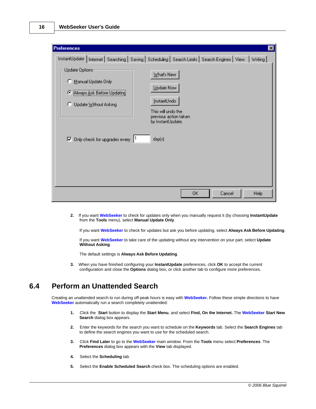| <b>Preferences</b>                                                                                                                |                                                                                 |        | $\boldsymbol{\times}$ |
|-----------------------------------------------------------------------------------------------------------------------------------|---------------------------------------------------------------------------------|--------|-----------------------|
| InstantUpdate   Internet   Searching   Saving   Scheduling   Search Limits   Search Engines   View   Writing  <br>Update Options: |                                                                                 |        |                       |
| Manual Update Only<br>C Always Ask Before Updating                                                                                | What's New<br>Updale Now                                                        |        |                       |
| C Update Without Asking                                                                                                           | InstantUndo<br>This will undo the<br>previous action taken<br>by InstantUpdate. |        |                       |
| $\nabla$ Only check for upgrades every                                                                                            | I٦<br>day(s)                                                                    |        |                       |
|                                                                                                                                   |                                                                                 |        |                       |
|                                                                                                                                   | 0K                                                                              | Cancel | <b>Help</b>           |

**2.** If you want **WebSeeker** to check for updates only when you manually request it (by choosing **InstantUpdate** from the **Tools** menu), select **Manual Update Only**.

If you want **WebSeeker** to check for updates but ask you before updating, select **Always Ask Before Updating**.

If you want **WebSeeker** to take care of the updating without any intervention on your part, select **Update Without Asking**.

The default settings is **Always Ask Before Updating**.

**3.** When you have finished configuring your **InstantUpdate** preferences, click **OK** to accept the current configuration and close the **Options** dialog box, or click another tab to configure more preferences.

# **6.4 Perform an Unattended Search**

Creating an unattended search to run during off-peak hours is easy with **WebSeeker.** Follow these simple directions to have **WebSeeker** automatically run a search completely unattended:

- **1.** Click the **Start** button to display the **Start Menu**, and select **Find, On the Internet.** The **WebSeeker Start New Search** dialog box appears.
- **2.** Enter the keywords for the search you want to schedule on the **Keywords** tab. Select the **Search Engines** tab to define the search engines you want to use for the scheduled search.
- **3.** Click **Find Later** to go to the **WebSeeker** main window. From the **Tools** menu select **Preferences**. The **Preferences** dialog box appears with the **View** tab displayed.
- **4.** Select the **Scheduling** tab.
- **5.** Select the **Enable Scheduled Search** check box. The scheduling options are enabled.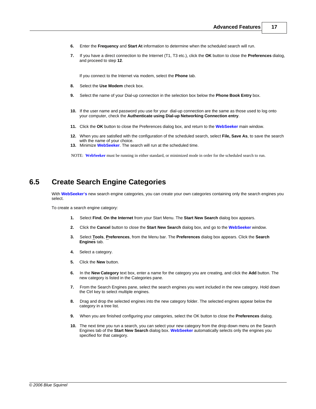- **6.** Enter the **Frequency** and **Start At** information to determine when the scheduled search will run.
- **7.** If you have a direct connection to the Internet (T1, T3 etc.), click the **OK** button to close the **Preferences** dialog, and proceed to step **12**.

If you connect to the Internet via modem, select the **Phone** tab.

- **8.** Select the **Use Modem** check box.
- **9.** Select the name of your Dial-up connection in the selection box below the **Phone Book Entry** box.
- **10.** If the user name and password you use for your dial-up connection are the same as those used to log onto your computer, check the **Authenticate using Dial-up Networking Connection entry**.
- **11.** Click the **OK** button to close the Preferences dialog box, and return to the **WebSeeker** main window.
- **12.** When you are satisfied with the configuration of the scheduled search, select **File, Save As**, to save the search with the name of your choice.
- **13.** Minimize **WebSeeker**. The search will run at the scheduled time.

NOTE: **WebSeeker** must be running in either standard, or minimized mode in order for the scheduled search to run.

# **6.5 Create Search Engine Categories**

With **WebSeeker's** new search engine categories, you can create your own categories containing only the search engines you select.

To create a search engine category:

- **1.** Select **Find**, **On the Internet** from your Start Menu. The **Start New Search** dialog box appears.
- **2.** Click the **Cancel** button to close the **Start New Search** dialog box, and go to the **WebSeeker** window.
- **3.** Select **Tools**, **Preferences**, from the Menu bar. The **Preferences** dialog box appears. Click the **Search Engines** tab.
- **4.** Select a category.
- **5.** Click the **New** button.
- **6.** In the **New Category** text box, enter a name for the category you are creating, and click the **Add** button. The new category is listed in the Categories pane.
- **7.** From the Search Engines pane, select the search engines you want included in the new category. Hold down the Ctrl key to select multiple engines.
- **8.** Drag and drop the selected engines into the new category folder. The selected engines appear below the category in a tree list.
- **9.** When you are finished configuring your categories, select the OK button to close the **Preferences** dialog.
- **10.** The next time you run a search, you can select your new category from the drop down menu on the Search Engines tab of the **Start New Search** dialog box. **WebSeeker** automatically selects only the engines you specified for that category.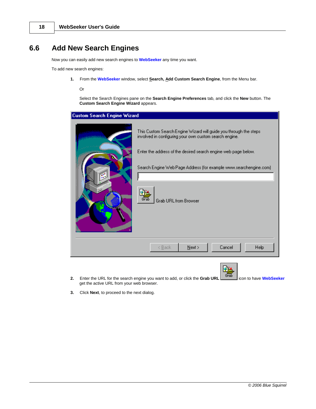# **6.6 Add New Search Engines**

Now you can easily add new search engines to **WebSeeker** any time you want.

To add new search engines:

**1.** From the **WebSeeker** window, select **Search, Add Custom Search Engine**, from the Menu bar.

Or

Select the Search Engines pane on the **Search Engine Preferences** tab, and click the **New** button. The **Custom Search Engine Wizard** appears.

| Custom Search Engine Wizard |                                                                                                                                                                                                                                                                                                             |
|-----------------------------|-------------------------------------------------------------------------------------------------------------------------------------------------------------------------------------------------------------------------------------------------------------------------------------------------------------|
| a l                         | This Custom Search Engine Wizard will guide you through the steps.<br>involved in configuring your own custom search engine.<br>Enter the address of the desired search engine web page below.<br>Search Engine Web Page Address (for example www.searchengine.com)<br>Grab<br><b>Grab URL from Browser</b> |
|                             | Cancel<br>$N$ ext ><br><b>Help</b><br>$\leq$ Back                                                                                                                                                                                                                                                           |
|                             |                                                                                                                                                                                                                                                                                                             |

- **2.** Enter the URL for the search engine you want to add, or click the **Grab URL** icon to have **WebSeeker** get the active URL from your web browser.
- **3.** Click **Next**, to proceed to the next dialog.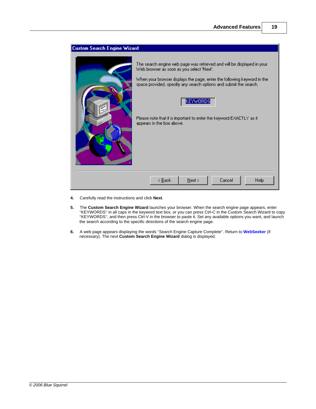

- **4.** Carefully read the instructions and click **Next**.
- **5.** The **Custom Search Engine Wizard** launches your browser. When the search engine page appears, enter "KEYWORDS" in all caps in the keyword text box, or you can press Ctrl-C in the Custom Search Wizard to copy "KEYWORDS", and then press Ctrl-V in the browser to paste it. Set any available options you want, and launch the search according to the specific directions of the search engine page.
- **6.** A web page appears displaying the words "Search Engine Capture Complete". Return to **WebSeeker** (if necessary). The next **Custom Search Engine Wizard** dialog is displayed.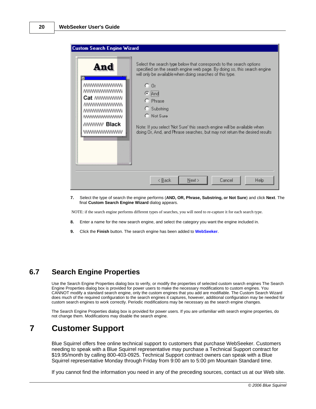| <b>Custom Search Engine Wizard</b>                                                                                                                                                                                                                                                                                                                                                                                                                       |  |
|----------------------------------------------------------------------------------------------------------------------------------------------------------------------------------------------------------------------------------------------------------------------------------------------------------------------------------------------------------------------------------------------------------------------------------------------------------|--|
| Select the search type below that corresponds to the search options<br>And<br>specified on the search engine web page. By doing so, this search engine<br>will only be available when doing searches of this type.<br>C Or<br>$C$ $And$<br>C Phrase<br>C Substring<br>C. Not Sure<br>/₩ Black<br>Note: If you select 'Not Sure' this search engine will be available when<br>doing Dr, And, and Phrase searches, but may not return the desired results. |  |
| Next<br>Cancel<br>$\leq$ Back<br><b>Help</b>                                                                                                                                                                                                                                                                                                                                                                                                             |  |

**7.** Select the type of search the engine performs (**AND, OR, Phrase, Substring, or Not Sure**) and click **Next**. The final **Custom Search Engine Wizard** dialog appears.

NOTE: if the search engine performs different types of searches, you will need to re-capture it for each search type.

- **8.** Enter a name for the new search engine, and select the category you want the engine included in.
- **9.** Click the **Finish** button. The search engine has been added to **WebSeeker**.

# **6.7 Search Engine Properties**

Use the Search Engine Properties dialog box to verify, or modify the properties of selected custom search engines The Search Engine Properties dialog box is provided for power users to make the necessary modifications to custom engines. You CANNOT modify a standard search engine, only the custom engines that you add are modifiable. The Custom Search Wizard does much of the required configuration to the search engines it captures, however, additional configuration may be needed for custom search engines to work correctly. Periodic modifications may be necessary as the search engine changes.

The Search Engine Properties dialog box is provided for power users. If you are unfamiliar with search engine properties, do not change them. Modifications may disable the search engine.

# **7 Customer Support**

Blue Squirrel offers free online technical support to customers that purchase WebSeeker. Customers needing to speak with a Blue Squirrel representative may purchase a Technical Support contract for \$19.95/month by calling 800-403-0925. Technical Support contract owners can speak with a Blue Squirrel representative Monday through Friday from 9:00 am to 5:00 pm Mountain Standard time.

If you cannot find the information you need in any of the preceding sources, contact us at our Web site.